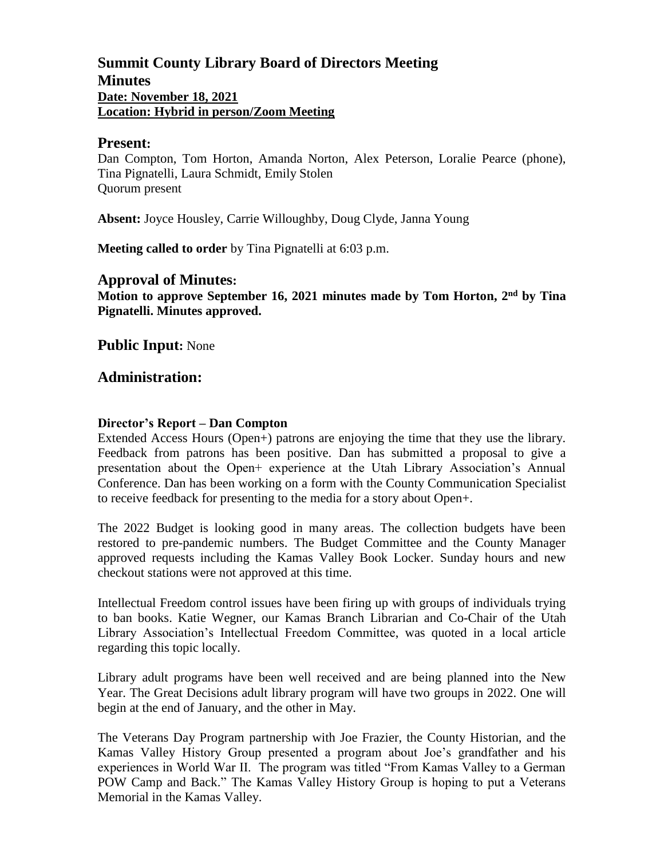# **Summit County Library Board of Directors Meeting Minutes Date: November 18, 2021 Location: Hybrid in person/Zoom Meeting**

#### **Present:**

Dan Compton, Tom Horton, Amanda Norton, Alex Peterson, Loralie Pearce (phone), Tina Pignatelli, Laura Schmidt, Emily Stolen Quorum present

**Absent:** Joyce Housley, Carrie Willoughby, Doug Clyde, Janna Young

**Meeting called to order** by Tina Pignatelli at 6:03 p.m.

#### **Approval of Minutes:**

**Motion to approve September 16, 2021 minutes made by Tom Horton, 2 nd by Tina Pignatelli. Minutes approved.** 

**Public Input:** None

#### **Administration:**

#### **Director's Report – Dan Compton**

Extended Access Hours (Open+) patrons are enjoying the time that they use the library. Feedback from patrons has been positive. Dan has submitted a proposal to give a presentation about the Open+ experience at the Utah Library Association's Annual Conference. Dan has been working on a form with the County Communication Specialist to receive feedback for presenting to the media for a story about Open+.

The 2022 Budget is looking good in many areas. The collection budgets have been restored to pre-pandemic numbers. The Budget Committee and the County Manager approved requests including the Kamas Valley Book Locker. Sunday hours and new checkout stations were not approved at this time.

Intellectual Freedom control issues have been firing up with groups of individuals trying to ban books. Katie Wegner, our Kamas Branch Librarian and Co-Chair of the Utah Library Association's Intellectual Freedom Committee, was quoted in a local article regarding this topic locally.

Library adult programs have been well received and are being planned into the New Year. The Great Decisions adult library program will have two groups in 2022. One will begin at the end of January, and the other in May.

The Veterans Day Program partnership with Joe Frazier, the County Historian, and the Kamas Valley History Group presented a program about Joe's grandfather and his experiences in World War II. The program was titled "From Kamas Valley to a German POW Camp and Back." The Kamas Valley History Group is hoping to put a Veterans Memorial in the Kamas Valley.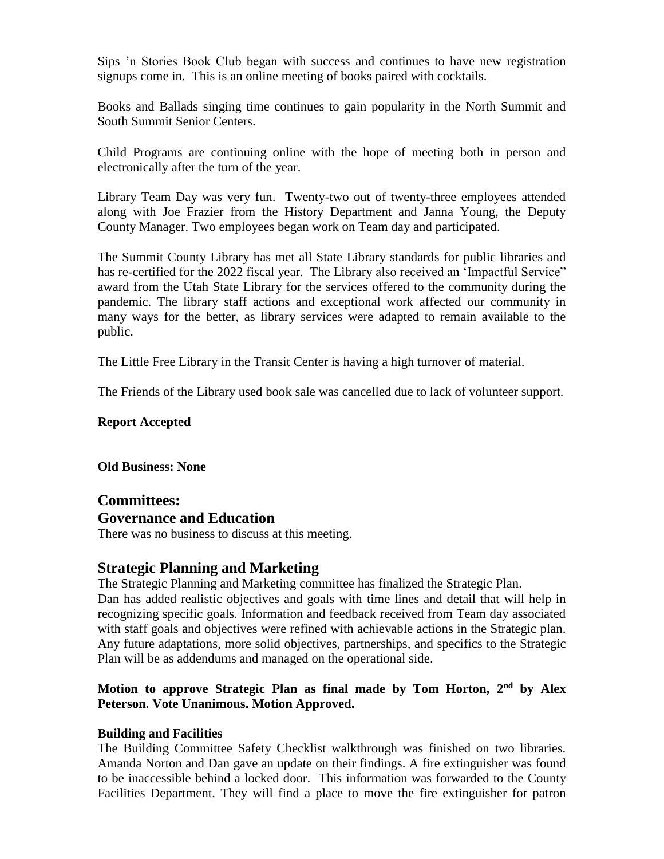Sips 'n Stories Book Club began with success and continues to have new registration signups come in. This is an online meeting of books paired with cocktails.

Books and Ballads singing time continues to gain popularity in the North Summit and South Summit Senior Centers.

Child Programs are continuing online with the hope of meeting both in person and electronically after the turn of the year.

Library Team Day was very fun. Twenty-two out of twenty-three employees attended along with Joe Frazier from the History Department and Janna Young, the Deputy County Manager. Two employees began work on Team day and participated.

The Summit County Library has met all State Library standards for public libraries and has re-certified for the 2022 fiscal year. The Library also received an 'Impactful Service" award from the Utah State Library for the services offered to the community during the pandemic. The library staff actions and exceptional work affected our community in many ways for the better, as library services were adapted to remain available to the public.

The Little Free Library in the Transit Center is having a high turnover of material.

The Friends of the Library used book sale was cancelled due to lack of volunteer support.

#### **Report Accepted**

**Old Business: None**

## **Committees: Governance and Education**

There was no business to discuss at this meeting.

# **Strategic Planning and Marketing**

The Strategic Planning and Marketing committee has finalized the Strategic Plan.

Dan has added realistic objectives and goals with time lines and detail that will help in recognizing specific goals. Information and feedback received from Team day associated with staff goals and objectives were refined with achievable actions in the Strategic plan. Any future adaptations, more solid objectives, partnerships, and specifics to the Strategic Plan will be as addendums and managed on the operational side.

## **Motion to approve Strategic Plan as final made by Tom Horton, 2 nd by Alex Peterson. Vote Unanimous. Motion Approved.**

## **Building and Facilities**

The Building Committee Safety Checklist walkthrough was finished on two libraries. Amanda Norton and Dan gave an update on their findings. A fire extinguisher was found to be inaccessible behind a locked door. This information was forwarded to the County Facilities Department. They will find a place to move the fire extinguisher for patron